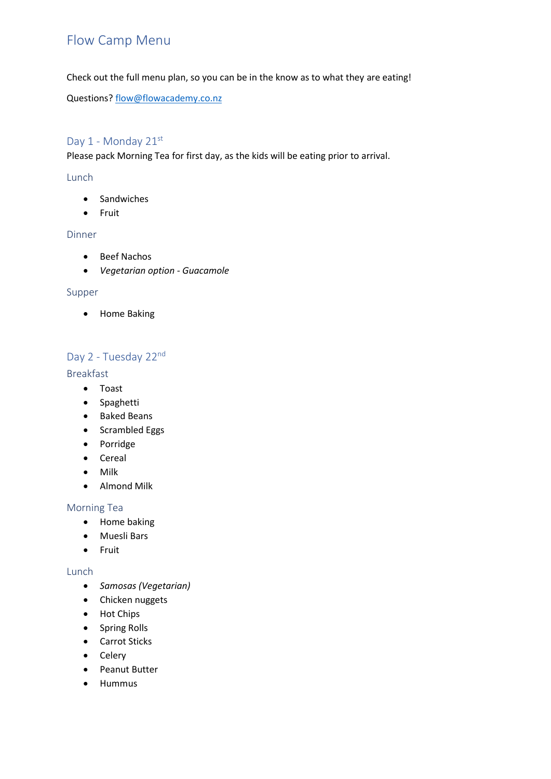# Flow Camp Menu

Check out the full menu plan, so you can be in the know as to what they are eating!

Questions[? flow@flowacademy.co.nz](mailto:flow@flowacademy.co.nz)

# Day 1 - Monday 21st

Please pack Morning Tea for first day, as the kids will be eating prior to arrival.

## Lunch

- Sandwiches
- Fruit

### Dinner

- Beef Nachos
- *Vegetarian option - Guacamole*

#### Supper

• Home Baking

# Day 2 - Tuesday 22nd

### Breakfast

- Toast
- Spaghetti
- Baked Beans
- Scrambled Eggs
- Porridge
- Cereal
- Milk
- Almond Milk

#### Morning Tea

- Home baking
- Muesli Bars
- Fruit

### Lunch

- *Samosas (Vegetarian)*
- Chicken nuggets
- Hot Chips
- Spring Rolls
- Carrot Sticks
- Celery
- Peanut Butter
- Hummus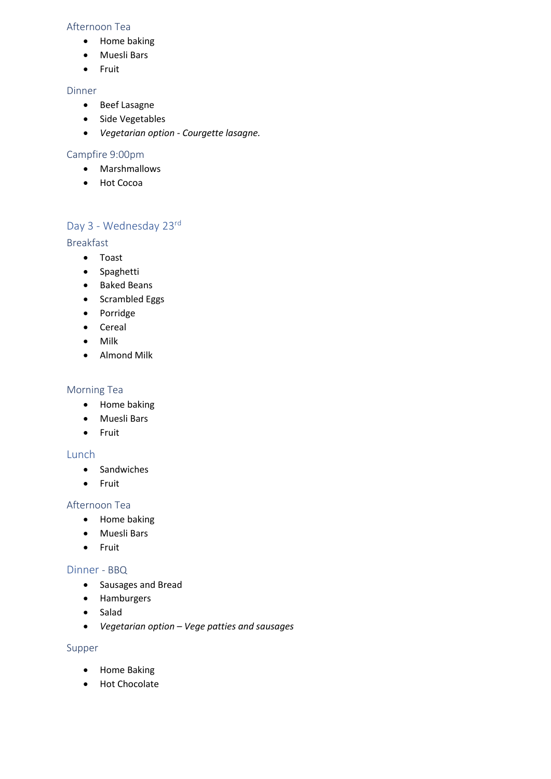### Afternoon Tea

- Home baking
- Muesli Bars
- Fruit

## Dinner

- Beef Lasagne
- Side Vegetables
- *Vegetarian option - Courgette lasagne.*

## Campfire 9:00pm

- Marshmallows
- Hot Cocoa

# Day 3 - Wednesday 23rd

## Breakfast

- Toast
- Spaghetti
- Baked Beans
- Scrambled Eggs
- Porridge
- Cereal
- Milk
- Almond Milk

### Morning Tea

- Home baking
- Muesli Bars
- Fruit

### Lunch

- Sandwiches
- Fruit

### Afternoon Tea

- Home baking
- Muesli Bars
- Fruit

### Dinner - BBQ

- Sausages and Bread
- Hamburgers
- Salad
- *Vegetarian option – Vege patties and sausages*

### Supper

- Home Baking
- Hot Chocolate